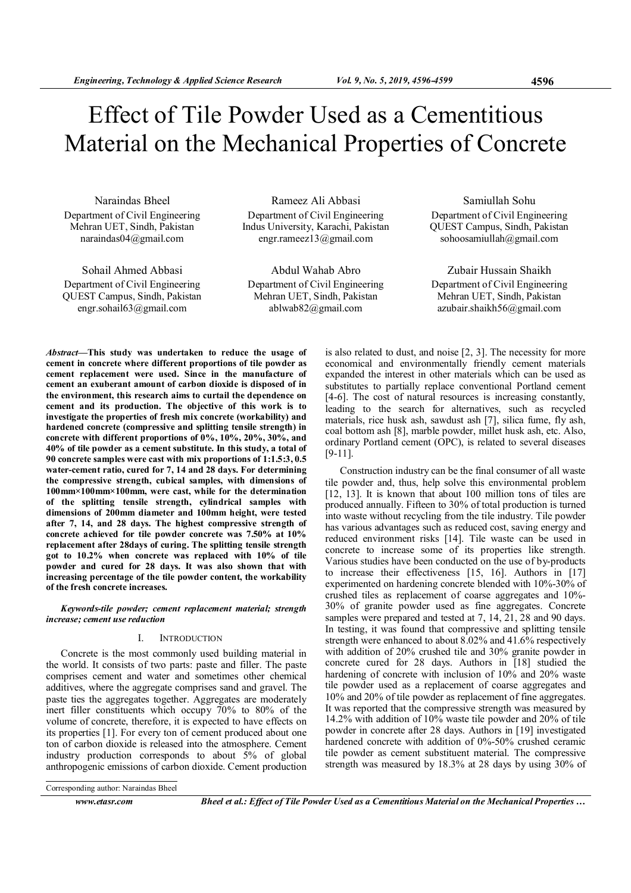# Effect of Tile Powder Used as a Cementitious Material on the Mechanical Properties of Concrete

Naraindas Bheel Department of Civil Engineering Mehran UET, Sindh, Pakistan naraindas04@gmail.com

Sohail Ahmed Abbasi Department of Civil Engineering QUEST Campus, Sindh, Pakistan engr.sohail63@gmail.com

Rameez Ali Abbasi Department of Civil Engineering Indus University, Karachi, Pakistan engr.rameez13@gmail.com

Abdul Wahab Abro Department of Civil Engineering Mehran UET, Sindh, Pakistan ablwab82@gmail.com

Samiullah Sohu Department of Civil Engineering QUEST Campus, Sindh, Pakistan sohoosamiullah@gmail.com

Zubair Hussain Shaikh Department of Civil Engineering Mehran UET, Sindh, Pakistan azubair.shaikh56@gmail.com

Abstract—This study was undertaken to reduce the usage of cement in concrete where different proportions of tile powder as cement replacement were used. Since in the manufacture of cement an exuberant amount of carbon dioxide is disposed of in the environment, this research aims to curtail the dependence on cement and its production. The objective of this work is to investigate the properties of fresh mix concrete (workability) and hardened concrete (compressive and splitting tensile strength) in concrete with different proportions of  $0\%, 10\%, 20\%, 30\%,$  and 40% of tile powder as a cement substitute. In this study, a total of 90 concrete samples were cast with mix proportions of 1:1.5:3, 0.5 water-cement ratio, cured for 7, 14 and 28 days. For determining the compressive strength, cubical samples, with dimensions of 100mm×100mm×100mm, were cast, while for the determination of the splitting tensile strength, cylindrical samples with dimensions of 200mm diameter and 100mm height, were tested after 7, 14, and 28 days. The highest compressive strength of concrete achieved for tile powder concrete was 7.50% at 10% replacement after 28days of curing. The splitting tensile strength got to 10.2% when concrete was replaced with 10% of tile powder and cured for 28 days. It was also shown that with increasing percentage of the tile powder content, the workability of the fresh concrete increases.

Keywords-tile powder; cement replacement material; strength increase; cement use reduction

## I. INTRODUCTION

Concrete is the most commonly used building material in the world. It consists of two parts: paste and filler. The paste comprises cement and water and sometimes other chemical additives, where the aggregate comprises sand and gravel. The paste ties the aggregates together. Aggregates are moderately inert filler constituents which occupy 70% to 80% of the volume of concrete, therefore, it is expected to have effects on its properties [1]. For every ton of cement produced about one ton of carbon dioxide is released into the atmosphere. Cement industry production corresponds to about 5% of global anthropogenic emissions of carbon dioxide. Cement production is also related to dust, and noise [2, 3]. The necessity for more economical and environmentally friendly cement materials expanded the interest in other materials which can be used as substitutes to partially replace conventional Portland cement [4-6]. The cost of natural resources is increasing constantly, leading to the search for alternatives, such as recycled materials, rice husk ash, sawdust ash [7], silica fume, fly ash, coal bottom ash [8], marble powder, millet husk ash, etc. Also, ordinary Portland cement (OPC), is related to several diseases [9-11].

Construction industry can be the final consumer of all waste tile powder and, thus, help solve this environmental problem [12, 13]. It is known that about 100 million tons of tiles are produced annually. Fifteen to 30% of total production is turned into waste without recycling from the tile industry. Tile powder has various advantages such as reduced cost, saving energy and reduced environment risks [14]. Tile waste can be used in concrete to increase some of its properties like strength. Various studies have been conducted on the use of by-products to increase their effectiveness [15, 16]. Authors in [17] experimented on hardening concrete blended with 10%-30% of crushed tiles as replacement of coarse aggregates and 10%- 30% of granite powder used as fine aggregates. Concrete samples were prepared and tested at 7, 14, 21, 28 and 90 days. In testing, it was found that compressive and splitting tensile strength were enhanced to about 8.02% and 41.6% respectively with addition of 20% crushed tile and 30% granite powder in concrete cured for 28 days. Authors in [18] studied the hardening of concrete with inclusion of 10% and 20% waste tile powder used as a replacement of coarse aggregates and 10% and 20% of tile powder as replacement of fine aggregates. It was reported that the compressive strength was measured by 14.2% with addition of 10% waste tile powder and 20% of tile powder in concrete after 28 days. Authors in [19] investigated hardened concrete with addition of 0%-50% crushed ceramic tile powder as cement substituent material. The compressive strength was measured by 18.3% at 28 days by using 30% of

Corresponding author: Naraindas Bheel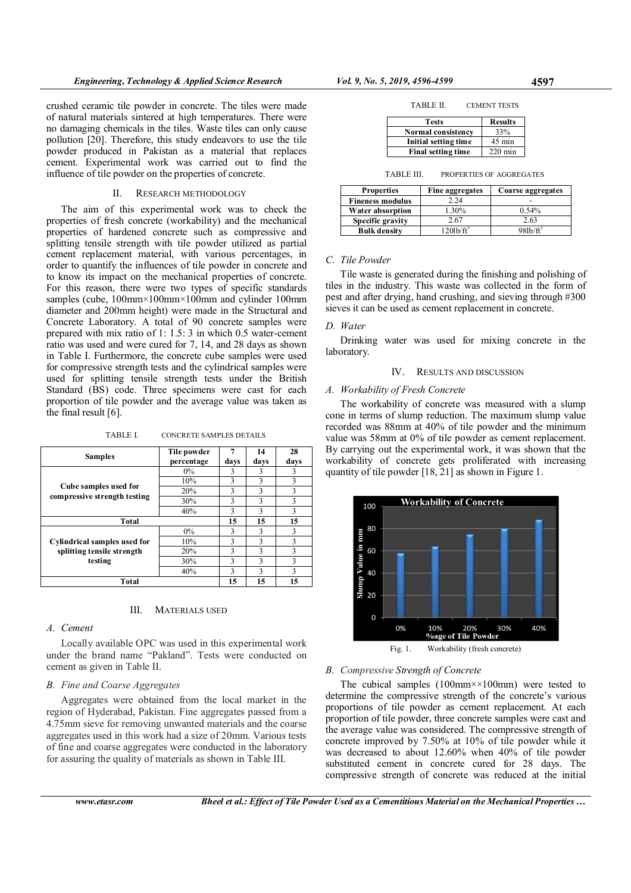crushed ceramic tile powder in concrete. The tiles were made of natural materials sintered at high temperatures. There were no damaging chemicals in the tiles. Waste tiles can only cause pollution [20]. Therefore, this study endeavors to use the tile powder produced in Pakistan as a material that replaces cement. Experimental work was carried out to find the influence of tile powder on the properties of concrete.

## II. RESEARCH METHODOLOGY

The aim of this experimental work was to check the properties of fresh concrete (workability) and the mechanical properties of hardened concrete such as compressive and splitting tensile strength with tile powder utilized as partial cement replacement material, with various percentages, in order to quantify the influences of tile powder in concrete and to know its impact on the mechanical properties of concrete. For this reason, there were two types of specific standards samples (cube, 100mm×100mm×100mm and cylinder 100mm diameter and 200mm height) were made in the Structural and Concrete Laboratory. A total of 90 concrete samples were prepared with mix ratio of 1: 1.5: 3 in which 0.5 water-cement ratio was used and were cured for 7, 14, and 28 days as shown in Table I. Furthermore, the concrete cube samples were used for compressive strength tests and the cylindrical samples were used for splitting tensile strength tests under the British Standard (BS) code. Three specimens were cast for each proportion of tile powder and the average value was taken as the final result [6].

TABLE I. CONCRETE SAMPLES DETAILS

| <b>Samples</b>                                                        | Tile powder<br>percentage | 7<br>days | 14<br>days | 28<br>days |
|-----------------------------------------------------------------------|---------------------------|-----------|------------|------------|
| Cube samples used for<br>compressive strength testing                 | $0\%$                     | 3         | 3          | 3          |
|                                                                       | 10%                       | 3         | 3          | 3          |
|                                                                       | 20%                       | 3         | 3          | 3          |
|                                                                       | 30%                       | 3         | 3          | 3          |
|                                                                       | 40%                       | 3         | 3          | 3          |
| Total                                                                 |                           | 15        | 15         | 15         |
| Cylindrical samples used for<br>splitting tensile strength<br>testing | $0\%$                     | 3         | 3          | 3          |
|                                                                       | 10%                       | 3         | 3          | 3          |
|                                                                       | 20%                       | 3         | 3          | 3          |
|                                                                       | 30%                       | 3         | 3          | 3          |
|                                                                       | 40%                       | 3         | 3          | 3          |
| Total                                                                 |                           | 15        | 15         | 15         |

#### III. MATERIALS USED

#### A. Cement

Locally available OPC was used in this experimental work under the brand name "Pakland". Tests were conducted on cement as given in Table II.

## B. Fine and Coarse Aggregates

Aggregates were obtained from the local market in the region of Hyderabad, Pakistan. Fine aggregates passed from a 4.75mm sieve for removing unwanted materials and the coarse aggregates used in this work had a size of 20mm. Various tests of fine and coarse aggregates were conducted in the laboratory for assuring the quality of materials as shown in Table III.

| TABLE II. | <b>CEMENT TESTS</b> |
|-----------|---------------------|
|           |                     |

| <b>Tests</b>              | <b>Results</b>   |
|---------------------------|------------------|
| <b>Normal consistency</b> | 33%              |
| Initial setting time      | $45 \text{ min}$ |
| <b>Final setting time</b> | $220$ min        |

TABLE III. PROPERTIES OF AGGREGATES

| <b>Properties</b>       | Fine aggregates    | Coarse aggregates        |
|-------------------------|--------------------|--------------------------|
| <b>Fineness modulus</b> | 2.24               |                          |
| Water absorption        | 1.30%              | 0.54%                    |
| Specific gravity        | 2.67               | 2.63                     |
| <b>Bulk density</b>     | $120\frac{lb}{ft}$ | $98\frac{h}{\text{h}^3}$ |

## C. Tile Powder

Tile waste is generated during the finishing and polishing of tiles in the industry. This waste was collected in the form of pest and after drying, hand crushing, and sieving through #300 sieves it can be used as cement replacement in concrete.

#### D. Water

Drinking water was used for mixing concrete in the laboratory.

#### IV. RESULTS AND DISCUSSION

#### A. Workability of Fresh Concrete

The workability of concrete was measured with a slump cone in terms of slump reduction. The maximum slump value recorded was 88mm at 40% of tile powder and the minimum value was 58mm at 0% of tile powder as cement replacement. By carrying out the experimental work, it was shown that the workability of concrete gets proliferated with increasing quantity of tile powder [18, 21] as shown in Figure 1.



Fig. 1. Workability (fresh concrete)

#### B. Compressive Strength of Concrete

The cubical samples  $(100 \text{mm} \times 100 \text{mm})$  were tested to determine the compressive strength of the concrete's various proportions of tile powder as cement replacement. At each proportion of tile powder, three concrete samples were cast and the average value was considered. The compressive strength of concrete improved by 7.50% at 10% of tile powder while it was decreased to about 12.60% when 40% of tile powder substituted cement in concrete cured for 28 days. The compressive strength of concrete was reduced at the initial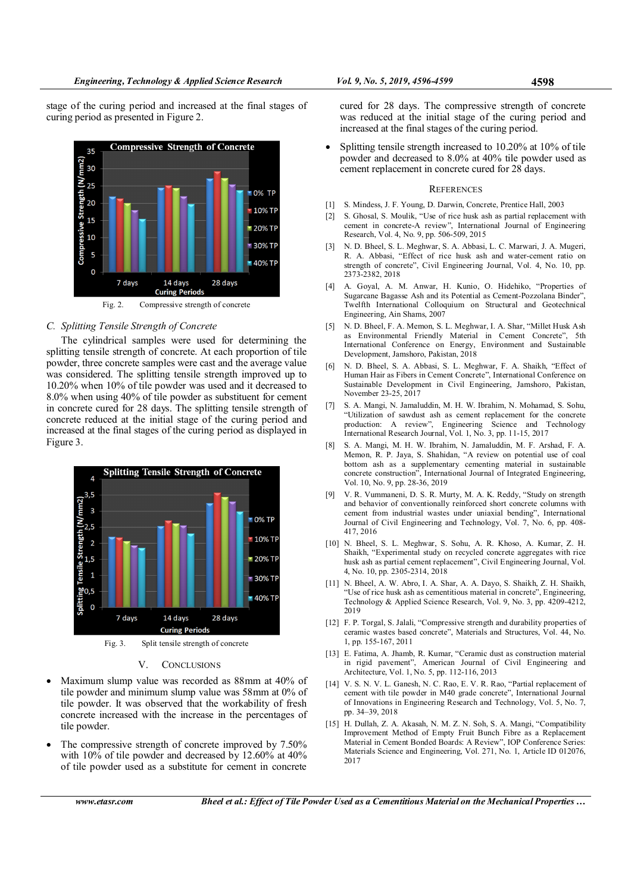stage of the curing period and increased at the final stages of curing period as presented in Figure 2.



## Fig. 2. Compressive strength of concrete

### C. Splitting Tensile Strength of Concrete

The cylindrical samples were used for determining the splitting tensile strength of concrete. At each proportion of tile powder, three concrete samples were cast and the average value was considered. The splitting tensile strength improved up to 10.20% when 10% of tile powder was used and it decreased to 8.0% when using 40% of tile powder as substituent for cement in concrete cured for 28 days. The splitting tensile strength of concrete reduced at the initial stage of the curing period and increased at the final stages of the curing period as displayed in Figure 3.



Fig. 3. Split tensile strength of concrete

#### V. CONCLUSIONS

- Maximum slump value was recorded as 88mm at 40% of tile powder and minimum slump value was 58mm at 0% of tile powder. It was observed that the workability of fresh concrete increased with the increase in the percentages of tile powder.
- The compressive strength of concrete improved by 7.50% with 10% of tile powder and decreased by 12.60% at 40% of tile powder used as a substitute for cement in concrete

cured for 28 days. The compressive strength of concrete was reduced at the initial stage of the curing period and increased at the final stages of the curing period.

• Splitting tensile strength increased to 10.20% at 10% of tile powder and decreased to 8.0% at 40% tile powder used as cement replacement in concrete cured for 28 days.

#### **REFERENCES**

- [1] S. Mindess, J. F. Young, D. Darwin, Concrete, Prentice Hall, 2003
- [2] S. Ghosal, S. Moulik, "Use of rice husk ash as partial replacement with cement in concrete-A review", International Journal of Engineering Research, Vol. 4, No. 9, pp. 506-509, 2015
- [3] N. D. Bheel, S. L. Meghwar, S. A. Abbasi, L. C. Marwari, J. A. Mugeri, R. A. Abbasi, "Effect of rice husk ash and water-cement ratio on strength of concrete", Civil Engineering Journal, Vol. 4, No. 10, pp. 2373-2382, 2018
- [4] A. Goyal, A. M. Anwar, H. Kunio, O. Hidehiko, "Properties of Sugarcane Bagasse Ash and its Potential as Cement-Pozzolana Binder", Twelfth International Colloquium on Structural and Geotechnical Engineering, Ain Shams, 2007
- [5] N. D. Bheel, F. A. Memon, S. L. Meghwar, I. A. Shar, "Millet Husk Ash as Environmental Friendly Material in Cement Concrete", 5th International Conference on Energy, Environment and Sustainable Development, Jamshoro, Pakistan, 2018
- [6] N. D. Bheel, S. A. Abbasi, S. L. Meghwar, F. A. Shaikh, "Effect of Human Hair as Fibers in Cement Concrete", International Conference on Sustainable Development in Civil Engineering, Jamshoro, Pakistan, November 23-25, 2017
- [7] S. A. Mangi, N. Jamaluddin, M. H. W. Ibrahim, N. Mohamad, S. Sohu, "Utilization of sawdust ash as cement replacement for the concrete production: A review", Engineering Science and Technology International Research Journal, Vol. 1, No. 3, pp. 11-15, 2017
- [8] S. A. Mangi, M. H. W. Ibrahim, N. Jamaluddin, M. F. Arshad, F. A. Memon, R. P. Jaya, S. Shahidan, "A review on potential use of coal bottom ash as a supplementary cementing material in sustainable concrete construction", International Journal of Integrated Engineering, Vol. 10, No. 9, pp. 28-36, 2019
- [9] V. R. Vummaneni, D. S. R. Murty, M. A. K. Reddy, "Study on strength and behavior of conventionally reinforced short concrete columns with cement from industrial wastes under uniaxial bending", International Journal of Civil Engineering and Technology, Vol. 7, No. 6, pp. 408- 417, 2016
- [10] N. Bheel, S. L. Meghwar, S. Sohu, A. R. Khoso, A. Kumar, Z. H. Shaikh, "Experimental study on recycled concrete aggregates with rice husk ash as partial cement replacement", Civil Engineering Journal, Vol. 4, No. 10, pp. 2305-2314, 2018
- [11] N. Bheel, A. W. Abro, I. A. Shar, A. A. Dayo, S. Shaikh, Z. H. Shaikh, "Use of rice husk ash as cementitious material in concrete", Engineering, Technology & Applied Science Research, Vol. 9, No. 3, pp. 4209-4212, 2019
- [12] F. P. Torgal, S. Jalali, "Compressive strength and durability properties of ceramic wastes based concrete", Materials and Structures, Vol. 44, No. 1, pp. 155-167, 2011
- [13] E. Fatima, A. Jhamb, R. Kumar, "Ceramic dust as construction material in rigid pavement", American Journal of Civil Engineering and Architecture, Vol. 1, No. 5, pp. 112-116, 2013
- [14] V. S. N. V. L. Ganesh, N. C. Rao, E. V. R. Rao, "Partial replacement of cement with tile powder in M40 grade concrete", International Journal of Innovations in Engineering Research and Technology, Vol. 5, No. 7, pp. 34–39, 2018
- [15] H. Dullah, Z. A. Akasah, N. M. Z. N. Soh, S. A. Mangi, "Compatibility Improvement Method of Empty Fruit Bunch Fibre as a Replacement Material in Cement Bonded Boards: A Review", IOP Conference Series: Materials Science and Engineering, Vol. 271, No. 1, Article ID 012076, 2017